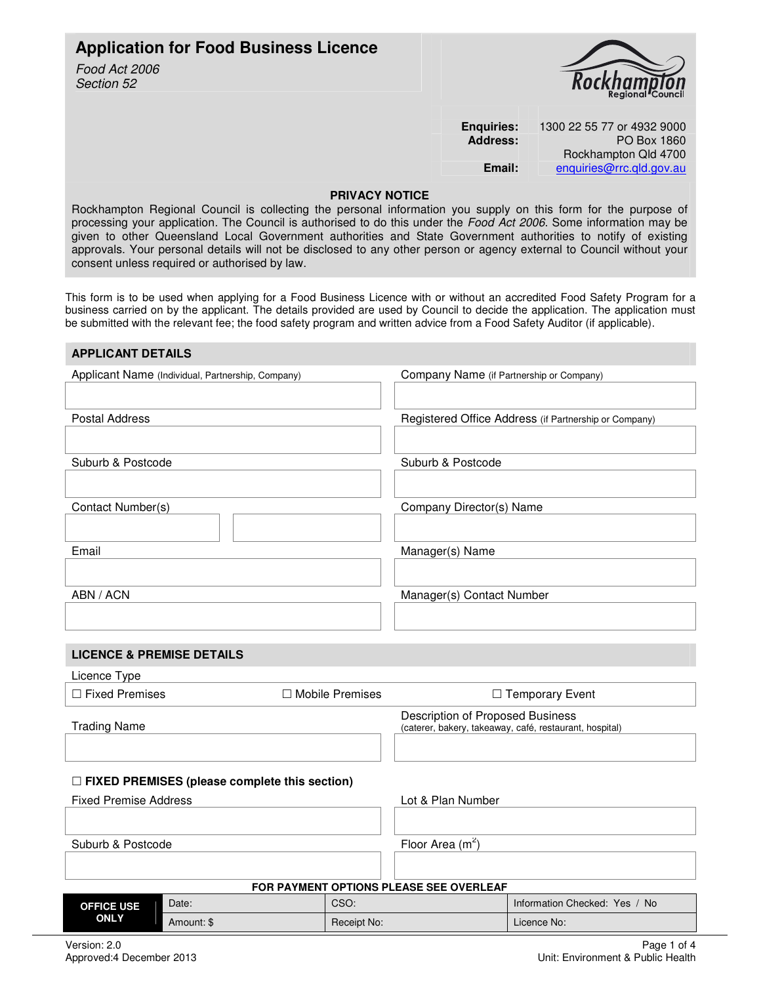# **Application for Food Business Licence**

Food Act 2006 Section 52



| <b>Enguiries:</b> | 1300 22 55 77 or 4932 9000 |  |
|-------------------|----------------------------|--|
| <b>Address:</b>   | PO Box 1860                |  |
|                   | Rockhampton Qld 4700       |  |
| Email:            | enquiries@rrc.qld.gov.au   |  |

# **PRIVACY NOTICE**

Rockhampton Regional Council is collecting the personal information you supply on this form for the purpose of processing your application. The Council is authorised to do this under the Food Act 2006. Some information may be given to other Queensland Local Government authorities and State Government authorities to notify of existing approvals. Your personal details will not be disclosed to any other person or agency external to Council without your consent unless required or authorised by law.

This form is to be used when applying for a Food Business Licence with or without an accredited Food Safety Program for a business carried on by the applicant. The details provided are used by Council to decide the application. The application must be submitted with the relevant fee; the food safety program and written advice from a Food Safety Auditor (if applicable).

| <b>APPLICANT DETAILS</b>                             |            |                    |                                          |                                                         |
|------------------------------------------------------|------------|--------------------|------------------------------------------|---------------------------------------------------------|
| Applicant Name (Individual, Partnership, Company)    |            |                    | Company Name (if Partnership or Company) |                                                         |
|                                                      |            |                    |                                          |                                                         |
| <b>Postal Address</b>                                |            |                    |                                          | Registered Office Address (if Partnership or Company)   |
|                                                      |            |                    |                                          |                                                         |
| Suburb & Postcode                                    |            |                    | Suburb & Postcode                        |                                                         |
|                                                      |            |                    |                                          |                                                         |
| Contact Number(s)                                    |            |                    | Company Director(s) Name                 |                                                         |
|                                                      |            |                    |                                          |                                                         |
| Email                                                |            |                    | Manager(s) Name                          |                                                         |
|                                                      |            |                    |                                          |                                                         |
| ABN / ACN                                            |            |                    | Manager(s) Contact Number                |                                                         |
|                                                      |            |                    |                                          |                                                         |
|                                                      |            |                    |                                          |                                                         |
| <b>LICENCE &amp; PREMISE DETAILS</b>                 |            |                    |                                          |                                                         |
| Licence Type                                         |            |                    |                                          |                                                         |
| $\Box$ Fixed Premises                                |            | □ Mobile Premises  |                                          | □ Temporary Event                                       |
| <b>Trading Name</b>                                  |            |                    | Description of Proposed Business         | (caterer, bakery, takeaway, café, restaurant, hospital) |
|                                                      |            |                    |                                          |                                                         |
| $\Box$ FIXED PREMISES (please complete this section) |            |                    |                                          |                                                         |
| <b>Fixed Premise Address</b>                         |            | Lot & Plan Number  |                                          |                                                         |
|                                                      |            |                    |                                          |                                                         |
| Suburb & Postcode                                    |            | Floor Area $(m^2)$ |                                          |                                                         |
|                                                      |            |                    |                                          |                                                         |
|                                                      |            |                    | FOR PAYMENT OPTIONS PLEASE SEE OVERLEAF  |                                                         |
| <b>OFFICE USE</b>                                    | Date:      | CSO:               |                                          | Information Checked: Yes / No                           |
| <b>ONLY</b>                                          | Amount: \$ | Receipt No:        |                                          | Licence No:                                             |
|                                                      |            |                    |                                          |                                                         |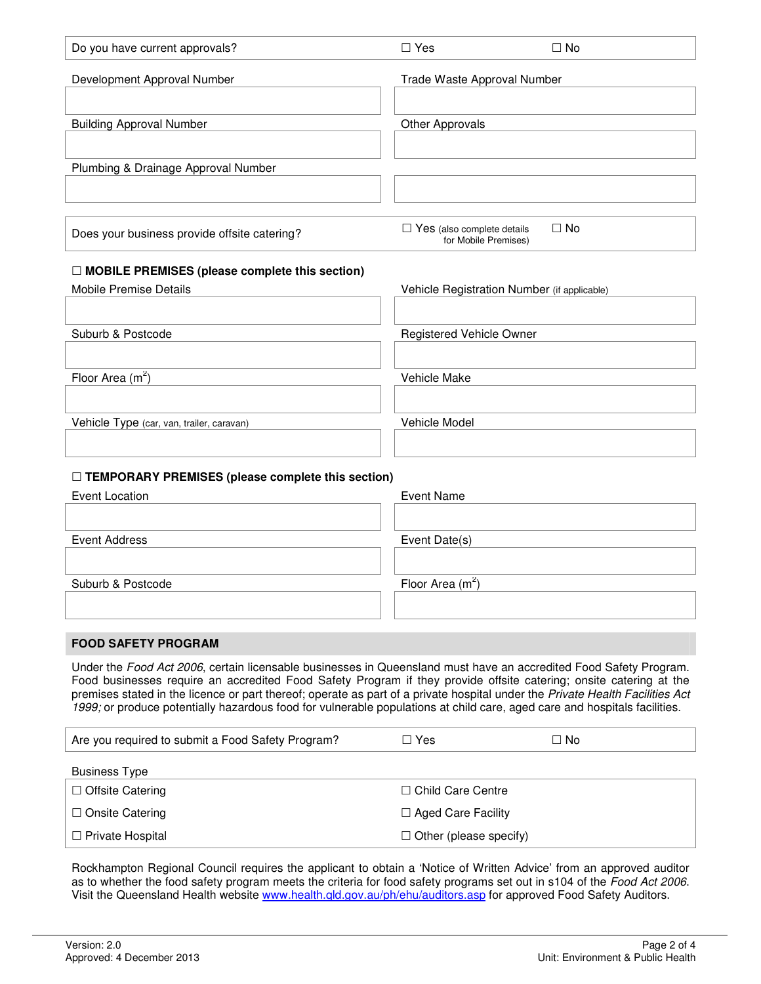| Do you have current approvals?               | $\Box$ Yes                                         | $\Box$ No |
|----------------------------------------------|----------------------------------------------------|-----------|
| Development Approval Number                  | Trade Waste Approval Number                        |           |
|                                              |                                                    |           |
| <b>Building Approval Number</b>              | <b>Other Approvals</b>                             |           |
|                                              |                                                    |           |
| Plumbing & Drainage Approval Number          |                                                    |           |
|                                              |                                                    |           |
|                                              |                                                    |           |
| Does your business provide offsite catering? | Yes (also complete details<br>for Mobile Premises) | $\Box$ No |

# **MOBILE PREMISES (please complete this section)**

| Mobile Premise Details                    | Vehicle Registration Number (if applicable) |
|-------------------------------------------|---------------------------------------------|
|                                           |                                             |
| Suburb & Postcode                         | Registered Vehicle Owner                    |
|                                           |                                             |
| Floor Area $(m^2)$                        | Vehicle Make                                |
|                                           |                                             |
| Vehicle Type (car, van, trailer, caravan) | Vehicle Model                               |
|                                           |                                             |
|                                           |                                             |

# **TEMPORARY PREMISES (please complete this section)**

| Event Location    | <b>Event Name</b>  |
|-------------------|--------------------|
|                   |                    |
|                   |                    |
| Event Address     | Event Date(s)      |
|                   |                    |
|                   |                    |
| Suburb & Postcode | Floor Area $(m^2)$ |
|                   |                    |
|                   |                    |

## **FOOD SAFETY PROGRAM**

Under the Food Act 2006, certain licensable businesses in Queensland must have an accredited Food Safety Program. Food businesses require an accredited Food Safety Program if they provide offsite catering; onsite catering at the premises stated in the licence or part thereof; operate as part of a private hospital under the Private Health Facilities Act 1999; or produce potentially hazardous food for vulnerable populations at child care, aged care and hospitals facilities.

| Are you required to submit a Food Safety Program? | $\Box$ Yes                    | ⊟ No |
|---------------------------------------------------|-------------------------------|------|
| <b>Business Type</b>                              |                               |      |
| $\Box$ Offsite Catering                           | $\Box$ Child Care Centre      |      |
| $\Box$ Onsite Catering                            | $\Box$ Aged Care Facility     |      |
| $\Box$ Private Hospital                           | $\Box$ Other (please specify) |      |

Rockhampton Regional Council requires the applicant to obtain a 'Notice of Written Advice' from an approved auditor as to whether the food safety program meets the criteria for food safety programs set out in s104 of the Food Act 2006. Visit the Queensland Health website www.health.qld.gov.au/ph/ehu/auditors.asp for approved Food Safety Auditors.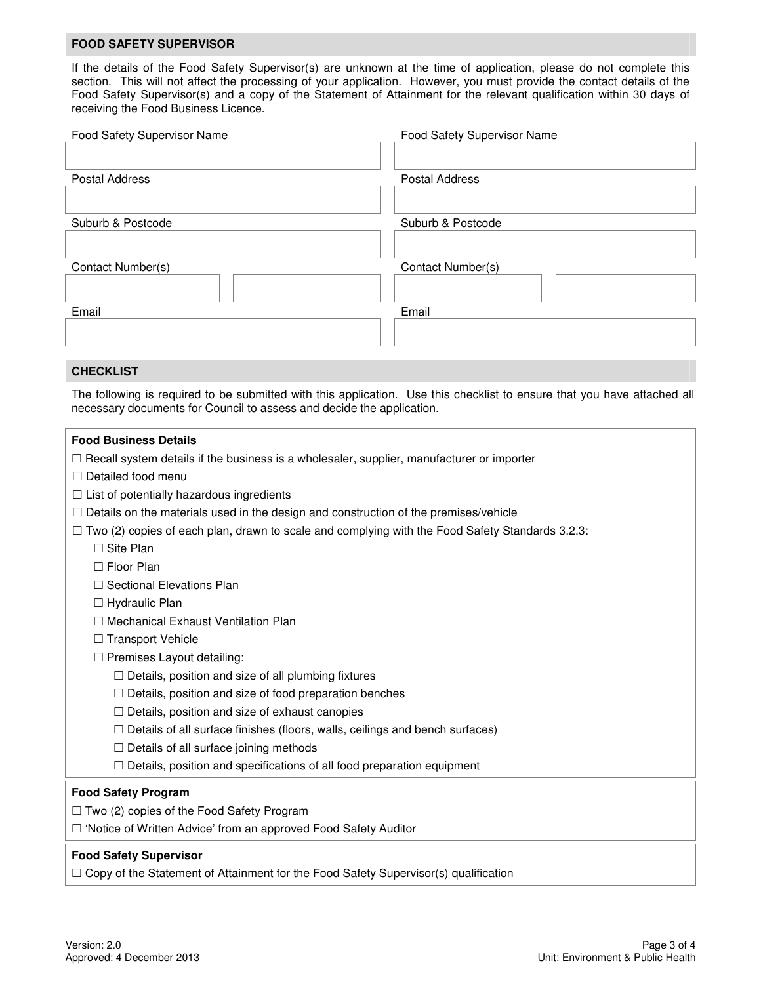#### **FOOD SAFETY SUPERVISOR**

If the details of the Food Safety Supervisor(s) are unknown at the time of application, please do not complete this section. This will not affect the processing of your application. However, you must provide the contact details of the Food Safety Supervisor(s) and a copy of the Statement of Attainment for the relevant qualification within 30 days of receiving the Food Business Licence.

| Food Safety Supervisor Name | Food Safety Supervisor Name |
|-----------------------------|-----------------------------|
|                             |                             |
| <b>Postal Address</b>       | <b>Postal Address</b>       |
|                             |                             |
| Suburb & Postcode           | Suburb & Postcode           |
|                             |                             |
| Contact Number(s)           | Contact Number(s)           |
|                             |                             |
| Email                       | Email                       |
|                             |                             |
|                             |                             |

## **CHECKLIST**

The following is required to be submitted with this application. Use this checklist to ensure that you have attached all necessary documents for Council to assess and decide the application.

#### **Food Business Details**

 $\Box$  Recall system details if the business is a wholesaler, supplier, manufacturer or importer

- $\square$  Detailed food menu
- $\Box$  List of potentially hazardous ingredients
- $\Box$  Details on the materials used in the design and construction of the premises/vehicle
- $\Box$  Two (2) copies of each plan, drawn to scale and complying with the Food Safety Standards 3.2.3:
	- □ Site Plan
	- □ Floor Plan
	- $\Box$  Sectional Elevations Plan
	- $\Box$  Hydraulic Plan
	- □ Mechanical Exhaust Ventilation Plan
	- $\Box$  Transport Vehicle
	- $\Box$  Premises Layout detailing:
		- $\Box$  Details, position and size of all plumbing fixtures
		- $\Box$  Details, position and size of food preparation benches
		- $\Box$  Details, position and size of exhaust canopies
		- $\Box$  Details of all surface finishes (floors, walls, ceilings and bench surfaces)
		- $\Box$  Details of all surface joining methods
		- $\Box$  Details, position and specifications of all food preparation equipment

## **Food Safety Program**

 $\Box$  Two (2) copies of the Food Safety Program

□ 'Notice of Written Advice' from an approved Food Safety Auditor

## **Food Safety Supervisor**

 $\Box$  Copy of the Statement of Attainment for the Food Safety Supervisor(s) qualification